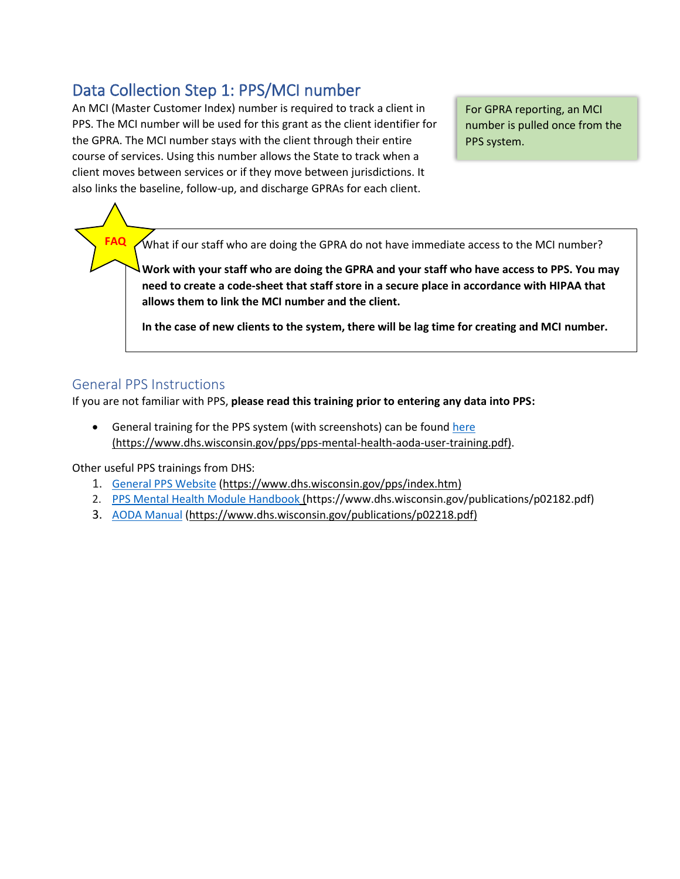## Data Collection Step 1: PPS/MCI number

An MCI (Master Customer Index) number is required to track a client in PPS. The MCI number will be used for this grant as the client identifier for the GPRA. The MCI number stays with the client through their entire course of services. Using this number allows the State to track when a client moves between services or if they move between jurisdictions. It also links the baseline, follow-up, and discharge GPRAs for each client.

For GPRA reporting, an MCI number is pulled once from the PPS system.

What if our staff who are doing the GPRA do not have immediate access to the MCI number?

**Work with your staff who are doing the GPRA and your staff who have access to PPS. You may need to create a code-sheet that staff store in a secure place in accordance with HIPAA that allows them to link the MCI number and the client.** 

**In the case of new clients to the system, there will be lag time for creating and MCI number.** 

## General PPS Instructions

**FAQ**

If you are not familiar with PPS, **please read this training prior to entering any data into PPS:**

• General training for the PPS system (with screenshots) can be foun[d here](https://www.dhs.wisconsin.gov/pps/pps-mental-health-aoda-user-training.pdf) (https://www.dhs.wisconsin.gov/pps/pps-mental-health-aoda-user-training.pdf).

Other useful PPS trainings from DHS:

- 1. [General PPS Website](https://www.dhs.wisconsin.gov/pps/index.htm) [\(https://www.dhs.wisconsin.gov/pps/index.htm\)](https://www.dhs.wisconsin.gov/pps/index.htm)
- 2. [PPS Mental Health Module Handbook](https://www.dhs.wisconsin.gov/publications/p02182.pdf) (https://www.dhs.wisconsin.gov/publications/p02182.pdf)
- 3. [AODA Manual](https://www.dhs.wisconsin.gov/publications/p02218.pdf) [\(https://www.dhs.wisconsin.gov/publications/p02218.pdf\)](https://www.dhs.wisconsin.gov/publications/p02218.pdf)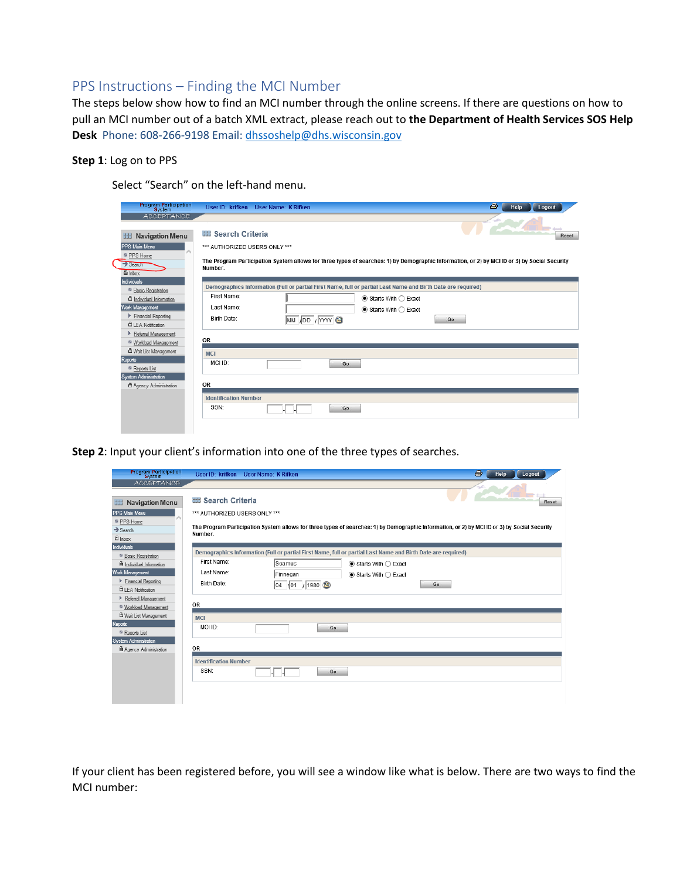## PPS Instructions – Finding the MCI Number

The steps below show how to find an MCI number through the online screens. If there are questions on how to pull an MCI number out of a batch XML extract, please reach out to **the Department of Health Services SOS Help Desk** Phone: 608-266-9198 Email: [dhssoshelp@dhs.wisconsin.gov](mailto:dhssoshelp@dhs.wisconsin.gov)

## **Step 1**: Log on to PPS

Select "Search" on the left-hand menu.

| <b>Program Participation</b>                                                                                                   | User ID: krifken User Name: K Rifken                                                                                                                                                                                  | 8<br>Help<br>Logout |
|--------------------------------------------------------------------------------------------------------------------------------|-----------------------------------------------------------------------------------------------------------------------------------------------------------------------------------------------------------------------|---------------------|
| <b>ACCEPTANCE</b><br><b>Navigation Menu</b><br>出<br><b>PPS Main Menu</b><br>PPS Home<br>$\rightarrow$ Search<br><b>凸</b> Inbox | <b>BB Search Criteria</b><br>*** AUTHORIZED USERS ONLY ***<br>The Program Participation System allows for three types of searches: 1) by Demographic Information, or 2) by MCI ID or 3) by Social Security<br>Number. | Reset               |
| Individuals<br><sup>6</sup> Basic Registration                                                                                 | Demographics Information (Full or partial First Name, full or partial Last Name and Birth Date are required)<br>First Name:                                                                                           |                     |
| <sup>6</sup> Individual Information<br>Work Management                                                                         | $\bullet$ Starts With $\bigcirc$ Exact<br>Last Name:<br>$\bullet$ Starts With $\bigcirc$ Exact                                                                                                                        |                     |
| Financial Reporting<br><b>凸 LEA Notification</b><br>Referral Management                                                        | Birth Date:<br>MM /DD / YYYY<br>Go                                                                                                                                                                                    |                     |
| <sup>63</sup> Workload Management<br><sup>4</sup> Wait List Management                                                         | <b>OR</b>                                                                                                                                                                                                             |                     |
| Reports<br>Reports List                                                                                                        | <b>MCI</b><br>MCI ID:<br>Go                                                                                                                                                                                           |                     |
| System Administration<br>Agency Administration                                                                                 | OR                                                                                                                                                                                                                    |                     |
|                                                                                                                                | <b>Identification Number</b><br>SSN:<br>Go                                                                                                                                                                            |                     |
|                                                                                                                                |                                                                                                                                                                                                                       |                     |

**Step 2**: Input your client's information into one of the three types of searches.

| <b>Program Participation</b><br><b>System</b>   | User ID: krifken              | User Name: K Rifken                                                                                          |                                      | 6<br>Help<br>Logout                                                                                                                          |  |  |
|-------------------------------------------------|-------------------------------|--------------------------------------------------------------------------------------------------------------|--------------------------------------|----------------------------------------------------------------------------------------------------------------------------------------------|--|--|
| <b>ACCEPTANCE</b>                               |                               |                                                                                                              |                                      |                                                                                                                                              |  |  |
| <b>Navigation Menu</b><br>出                     | <b>图 Search Criteria</b>      |                                                                                                              |                                      | Reset                                                                                                                                        |  |  |
| <b>PPS Main Menu</b>                            | *** AUTHORIZED USERS ONLY *** |                                                                                                              |                                      |                                                                                                                                              |  |  |
| PPS Home                                        |                               |                                                                                                              |                                      |                                                                                                                                              |  |  |
| $\rightarrow$ Search                            | Number.                       |                                                                                                              |                                      | The Program Participation System allows for three types of searches: 1) by Demographic Information, or 2) by MCI ID or 3) by Social Security |  |  |
| <b>凸</b> Inbox                                  |                               |                                                                                                              |                                      |                                                                                                                                              |  |  |
| <b>Individuals</b>                              |                               | Demographics Information (Full or partial First Name, full or partial Last Name and Birth Date are required) |                                      |                                                                                                                                              |  |  |
| <sup>6</sup> Basic Registration                 | First Name:                   |                                                                                                              |                                      |                                                                                                                                              |  |  |
| <b>合</b> Individual Information                 |                               | Seamus                                                                                                       | $\odot$ Starts With $\bigcirc$ Exact |                                                                                                                                              |  |  |
| <b>Work Management</b>                          | Last Name:                    | Finnegan                                                                                                     | $\odot$ Starts With $\bigcirc$ Exact |                                                                                                                                              |  |  |
| Financial Reporting<br><b>自LEA</b> Notification | Birth Date:                   | 04 /01 / 1980 3                                                                                              |                                      | Go                                                                                                                                           |  |  |
| Referral Management                             |                               |                                                                                                              |                                      |                                                                                                                                              |  |  |
| <sup>8</sup> Workload Management                | <b>OR</b>                     |                                                                                                              |                                      |                                                                                                                                              |  |  |
| <sup>4</sup> Wait List Management               | <b>MCI</b>                    |                                                                                                              |                                      |                                                                                                                                              |  |  |
| <b>Reports</b>                                  | MCLID:                        |                                                                                                              |                                      |                                                                                                                                              |  |  |
| <sup>69</sup> Reports List                      |                               |                                                                                                              | Go                                   |                                                                                                                                              |  |  |
| System Administration                           |                               |                                                                                                              |                                      |                                                                                                                                              |  |  |
| Agency Administration                           | <b>OR</b>                     |                                                                                                              |                                      |                                                                                                                                              |  |  |
|                                                 | <b>Identification Number</b>  |                                                                                                              |                                      |                                                                                                                                              |  |  |
|                                                 | SSN:                          |                                                                                                              | Go                                   |                                                                                                                                              |  |  |
|                                                 |                               |                                                                                                              |                                      |                                                                                                                                              |  |  |
|                                                 |                               |                                                                                                              |                                      |                                                                                                                                              |  |  |
|                                                 |                               |                                                                                                              |                                      |                                                                                                                                              |  |  |

If your client has been registered before, you will see a window like what is below. There are two ways to find the MCI number: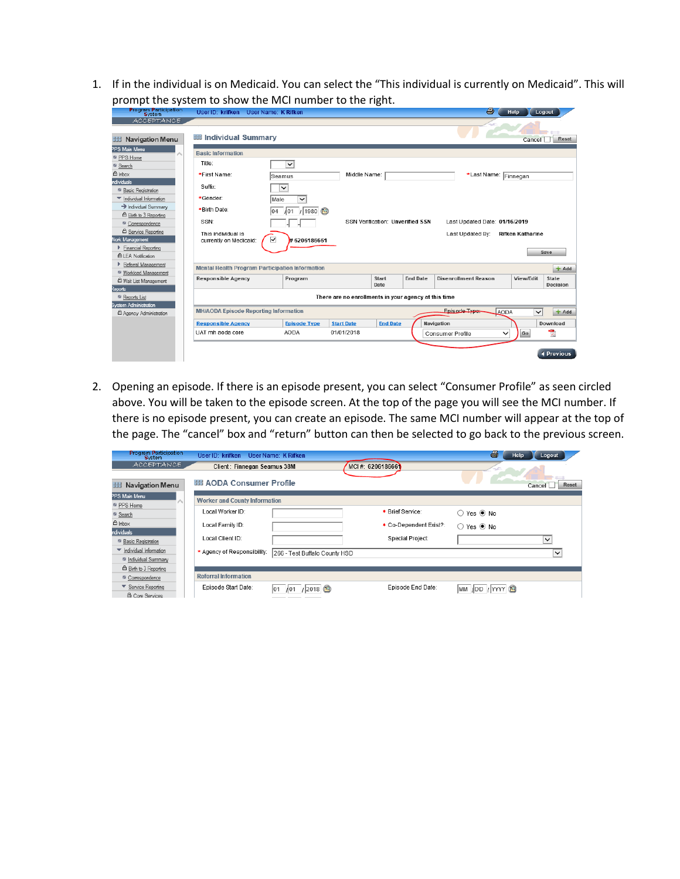1. If in the individual is on Medicaid. You can select the "This individual is currently on Medicaid". This will prompt the system to show the MCI number to the right.

| Program Participation                                                                                                                                                                                                                                                     | User ID: krifken                                                                            | User Name: K Rifken                                                                |                   |                                         |                 | 全                                                 | Help                    | Logout                                                     |
|---------------------------------------------------------------------------------------------------------------------------------------------------------------------------------------------------------------------------------------------------------------------------|---------------------------------------------------------------------------------------------|------------------------------------------------------------------------------------|-------------------|-----------------------------------------|-----------------|---------------------------------------------------|-------------------------|------------------------------------------------------------|
| <b>ACCEPTANCE</b><br><b>Hill Navigation Menu</b>                                                                                                                                                                                                                          | <b>But Individual Summary</b>                                                               |                                                                                    |                   |                                         |                 |                                                   | Cancel                  | Reset                                                      |
| PPS Main Menu<br>PPS Home<br><sup>8</sup> Search<br>合 Inbox                                                                                                                                                                                                               | <b>Basic Information</b><br>Title:<br>*First Name:                                          | $\checkmark$<br>Seamus                                                             | Middle Name:      |                                         |                 | *Last Name: Finnegan                              |                         |                                                            |
| ndividuals.<br><sup>8</sup> Basic Registration<br>Individual Information<br>> Individual Summary<br><sup>6</sup> Birth to 3 Reporting<br><sup>6</sup> Correspondence<br><b>凸 Service Reporting</b><br>Vork Management<br>Financial Reporting<br><b>凸 LEA Notification</b> | Suffix:<br>*Gender:<br>*Birth Date:<br>SSN:<br>This individual is<br>currently on Medicaid: | $\checkmark$<br>Male<br>$\checkmark$<br>/ 1980 图<br>104<br>101<br>▽<br>#6206186661 |                   | <b>SSN Verification: Unverified SSN</b> |                 | Last Updated Date: 01/16/2019<br>Last Updated By: | <b>Rifken Katharine</b> | Save                                                       |
| Referral Management<br><sup>6</sup> Workload Management                                                                                                                                                                                                                   | <b>Mental Health Program Participation Information</b>                                      |                                                                                    |                   |                                         |                 |                                                   |                         | $+$ Add                                                    |
| <sup>4</sup> Wait List Management<br>Reports                                                                                                                                                                                                                              | <b>Responsible Agency</b>                                                                   | Program                                                                            |                   | Start<br>Date                           | <b>End Date</b> | <b>Disenrollment Reason</b>                       | View/Edit               | State<br>Decision                                          |
| Reports List<br><b>System Administration</b>                                                                                                                                                                                                                              | There are no enrollments in your agency at this time                                        |                                                                                    |                   |                                         |                 |                                                   |                         |                                                            |
| Agency Administration                                                                                                                                                                                                                                                     | Enisode Type:<br><b>MH/AODA Episode Reporting Information</b><br><b>AODA</b><br>$\check{~}$ |                                                                                    |                   |                                         |                 |                                                   | $+$ Add                 |                                                            |
|                                                                                                                                                                                                                                                                           | <b>Responsible Agency</b>                                                                   | <b>Episode Type</b>                                                                | <b>Start Date</b> | <b>End Date</b>                         |                 | Navigation                                        |                         | Download                                                   |
|                                                                                                                                                                                                                                                                           | UAT mh aoda core                                                                            | <b>AODA</b>                                                                        | 01/01/2018        |                                         |                 | Consumer Profile<br>✓                             | Go                      | $\overline{\mathbb{R}}$<br><i><u><b>I</b></u></i> Previous |
|                                                                                                                                                                                                                                                                           |                                                                                             |                                                                                    |                   |                                         |                 |                                                   |                         |                                                            |

2. Opening an episode. If there is an episode present, you can select "Consumer Profile" as seen circled above. You will be taken to the episode screen. At the top of the page you will see the MCI number. If there is no episode present, you can create an episode. The same MCI number will appear at the top of the page. The "cancel" box and "return" button can then be selected to go back to the previous screen.

| <b>Program Participation</b><br><b>S</b> /stem                    | User ID: krifken                     | User Name: K Rifken           |                        | a,<br>Help                      | Logout          |
|-------------------------------------------------------------------|--------------------------------------|-------------------------------|------------------------|---------------------------------|-----------------|
| ACCEPTANCE                                                        | Client: Finnegan Seamus 38M          |                               | MCI#: 6206186661       |                                 |                 |
| <b>Navigation Menu</b><br>出                                       | <b>EB AODA Consumer Profile</b>      |                               |                        |                                 | Reset<br>Cancel |
| PPS Main Menu                                                     | <b>Worker and County Information</b> |                               |                        |                                 |                 |
| PPS Home<br>Search                                                | Local Worker ID:                     |                               | * Brief Service:       | ○ Yes ◉ No                      |                 |
| 合 Inbox                                                           | Local Family ID:                     |                               | * Co-Dependent Exist?: | $\bigcirc$ Yes $\circledast$ No |                 |
| ndividuals<br><sup>6</sup> Basic Registration                     | Local Client ID:                     |                               | Special Project:       |                                 | $\checkmark$    |
| Individual Information                                            | * Agency of Responsibility:          | 266 - Test Buffalo County HSD |                        |                                 | $\checkmark$    |
| <sup>69</sup> Individual Summary<br><b>凸 Birth to 3 Reporting</b> |                                      |                               |                        |                                 |                 |
| <sup>12</sup> Correspondence                                      | <b>Referral Information</b>          |                               |                        |                                 |                 |
| ▼ Service Reporting<br><b>自 Core Services</b>                     | Episode Start Date:                  | 2018<br>101                   | Episode End Date:      | MM JDD JYYYY                    |                 |